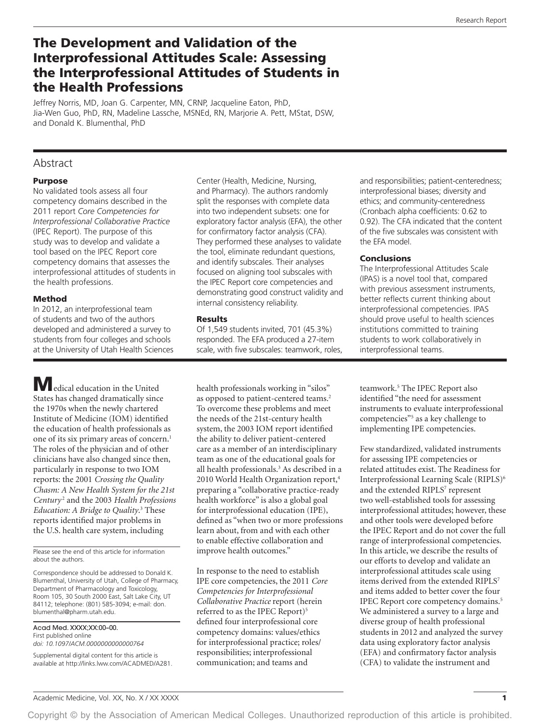# The Development and Validation of the Interprofessional Attitudes Scale: Assessing the Interprofessional Attitudes of Students in the Health Professions

Jeffrey Norris, MD, Joan G. Carpenter, MN, CRNP, Jacqueline Eaton, PhD, Jia-Wen Guo, PhD, RN, Madeline Lassche, MSNEd, RN, Marjorie A. Pett, MStat, DSW, and Donald K. Blumenthal, PhD

# Abstract

### Purpose

No validated tools assess all four competency domains described in the 2011 report *Core Competencies for Interprofessional Collaborative Practice* (IPEC Report). The purpose of this study was to develop and validate a tool based on the IPEC Report core competency domains that assesses the interprofessional attitudes of students in the health professions.

### Method

In 2012, an interprofessional team of students and two of the authors developed and administered a survey to students from four colleges and schools at the University of Utah Health Sciences

Medical education in the United States has changed dramatically since the 1970s when the newly chartered Institute of Medicine (IOM) identified the education of health professionals as one of its six primary areas of concern.<sup>1</sup> The roles of the physician and of other clinicians have also changed since then, particularly in response to two IOM reports: the 2001 *Crossing the Quality Chasm: A New Health System for the 21st Century* <sup>2</sup> and the 2003 *Health Professions Education: A Bridge to Quality*. 3 These reports identified major problems in the U.S. health care system, including

Please see the end of this article for information about the authors.

Correspondence should be addressed to Donald K. Blumenthal, University of Utah, College of Pharmacy, Department of Pharmacology and Toxicology, Room 105, 30 South 2000 East, Salt Lake City, UT 84112; telephone: (801) 585-3094; e-mail: [don.](mailto:don.blumenthal@pharm.utah.edu) [blumenthal@pharm.utah.edu.](mailto:don.blumenthal@pharm.utah.edu)

Acad Med. XXXX;XX:00–00. First published online *doi: 10.1097/ACM.0000000000000764*

Supplemental digital content for this article is available at [http://links.lww.com/ACADMED/A281.](http://links.lww.com/ACADMED/A281)

Center (Health, Medicine, Nursing, and Pharmacy). The authors randomly split the responses with complete data into two independent subsets: one for exploratory factor analysis (EFA), the other for confirmatory factor analysis (CFA). They performed these analyses to validate the tool, eliminate redundant questions, and identify subscales. Their analyses focused on aligning tool subscales with the IPEC Report core competencies and demonstrating good construct validity and internal consistency reliability.

### Results

Of 1,549 students invited, 701 (45.3%) responded. The EFA produced a 27-item scale, with five subscales: teamwork, roles,

health professionals working in "silos" as opposed to patient-centered teams.<sup>2</sup> To overcome these problems and meet the needs of the 21st-century health system, the 2003 IOM report identified the ability to deliver patient-centered care as a member of an interdisciplinary team as one of the educational goals for all health professionals.3 As described in a 2010 World Health Organization report,<sup>4</sup> preparing a "collaborative practice-ready health workforce" is also a global goal for interprofessional education (IPE), defined as "when two or more professions learn about, from and with each other to enable effective collaboration and improve health outcomes."

In response to the need to establish IPE core competencies, the 2011 *Core Competencies for Interprofessional Collaborative Practice* report (herein referred to as the IPEC Report)<sup>5</sup> defined four interprofessional core competency domains: values/ethics for interprofessional practice; roles/ responsibilities; interprofessional communication; and teams and

and responsibilities; patient-centeredness; interprofessional biases; diversity and ethics; and community-centeredness (Cronbach alpha coefficients: 0.62 to 0.92). The CFA indicated that the content of the five subscales was consistent with the EFA model.

## **Conclusions**

The Interprofessional Attitudes Scale (IPAS) is a novel tool that, compared with previous assessment instruments, better reflects current thinking about interprofessional competencies. IPAS should prove useful to health sciences institutions committed to training students to work collaboratively in interprofessional teams.

teamwork.5 The IPEC Report also identified "the need for assessment instruments to evaluate interprofessional competencies"<sup>5</sup> as a key challenge to implementing IPE competencies.

Few standardized, validated instruments for assessing IPE competencies or related attitudes exist. The Readiness for Interprofessional Learning Scale (RIPLS)6 and the extended RIPLS<sup>7</sup> represent two well-established tools for assessing interprofessional attitudes; however, these and other tools were developed before the IPEC Report and do not cover the full range of interprofessional competencies. In this article, we describe the results of our efforts to develop and validate an interprofessional attitudes scale using items derived from the extended RIPLS<sup>7</sup> and items added to better cover the four IPEC Report core competency domains.<sup>5</sup> We administered a survey to a large and diverse group of health professional students in 2012 and analyzed the survey data using exploratory factor analysis (EFA) and confirmatory factor analysis (CFA) to validate the instrument and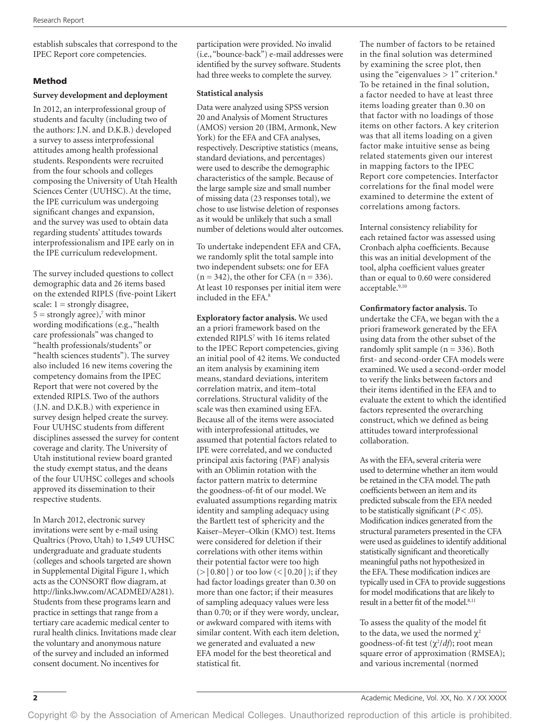establish subscales that correspond to the IPEC Report core competencies.

# Method

### **Survey development and deployment**

In 2012, an interprofessional group of students and faculty (including two of the authors: J.N. and D.K.B.) developed a survey to assess interprofessional attitudes among health professional students. Respondents were recruited from the four schools and colleges composing the University of Utah Health Sciences Center (UUHSC). At the time, the IPE curriculum was undergoing significant changes and expansion, and the survey was used to obtain data regarding students' attitudes towards interprofessionalism and IPE early on in the IPE curriculum redevelopment.

The survey included questions to collect demographic data and 26 items based on the extended RIPLS (five-point Likert scale:  $1 =$  strongly disagree,  $5 =$  strongly agree),<sup>7</sup> with minor wording modifications (e.g., "health care professionals" was changed to "health professionals/students" or "health sciences students"). The survey also included 16 new items covering the competency domains from the IPEC Report that were not covered by the extended RIPLS. Two of the authors (J.N. and D.K.B.) with experience in survey design helped create the survey. Four UUHSC students from different disciplines assessed the survey for content coverage and clarity. The University of Utah institutional review board granted the study exempt status, and the deans of the four UUHSC colleges and schools approved its dissemination to their respective students.

In March 2012, electronic survey invitations were sent by e-mail using Qualtrics (Provo, Utah) to 1,549 UUHSC undergraduate and graduate students (colleges and schools targeted are shown in Supplemental Digital Figure 1, which acts as the CONSORT flow diagram, at [http://links.lww.com/ACADMED/A281\)](http://links.lww.com/ACADMED/A281). Students from these programs learn and practice in settings that range from a tertiary care academic medical center to rural health clinics. Invitations made clear the voluntary and anonymous nature of the survey and included an informed consent document. No incentives for

participation were provided. No invalid (i.e., "bounce-back") e-mail addresses were identified by the survey software. Students had three weeks to complete the survey.

### **Statistical analysis**

Data were analyzed using SPSS version 20 and Analysis of Moment Structures (AMOS) version 20 (IBM, Armonk, New York) for the EFA and CFA analyses, respectively. Descriptive statistics (means, standard deviations, and percentages) were used to describe the demographic characteristics of the sample. Because of the large sample size and small number of missing data (23 responses total), we chose to use listwise deletion of responses as it would be unlikely that such a small number of deletions would alter outcomes.

To undertake independent EFA and CFA, we randomly split the total sample into two independent subsets: one for EFA  $(n = 342)$ , the other for CFA  $(n = 336)$ . At least 10 responses per initial item were included in the EFA.8

**Exploratory factor analysis.** We used an a priori framework based on the extended RIPLS<sup>7</sup> with 16 items related to the IPEC Report competencies, giving an initial pool of 42 items. We conducted an item analysis by examining item means, standard deviations, interitem correlation matrix, and item–total correlations. Structural validity of the scale was then examined using EFA. Because all of the items were associated with interprofessional attitudes, we assumed that potential factors related to IPE were correlated, and we conducted principal axis factoring (PAF) analysis with an Oblimin rotation with the factor pattern matrix to determine the goodness-of-fit of our model. We evaluated assumptions regarding matrix identity and sampling adequacy using the Bartlett test of sphericity and the Kaiser–Meyer–Olkin (KMO) test. Items were considered for deletion if their correlations with other items within their potential factor were too high (>│0.80│) or too low (<│0.20│); if they had factor loadings greater than 0.30 on more than one factor; if their measures of sampling adequacy values were less than 0.70; or if they were wordy, unclear, or awkward compared with items with similar content. With each item deletion, we generated and evaluated a new EFA model for the best theoretical and statistical fit.

The number of factors to be retained in the final solution was determined by examining the scree plot, then using the "eigenvalues  $> 1$ " criterion.<sup>8</sup> To be retained in the final solution, a factor needed to have at least three items loading greater than 0.30 on that factor with no loadings of those items on other factors. A key criterion was that all items loading on a given factor make intuitive sense as being related statements given our interest in mapping factors to the IPEC Report core competencies. Interfactor correlations for the final model were examined to determine the extent of correlations among factors.

Internal consistency reliability for each retained factor was assessed using Cronbach alpha coefficients. Because this was an initial development of the tool, alpha coefficient values greater than or equal to 0.60 were considered acceptable.9,10

**Confirmatory factor analysis.** To undertake the CFA, we began with the a priori framework generated by the EFA using data from the other subset of the randomly split sample ( $n = 336$ ). Both first- and second-order CFA models were examined. We used a second-order model to verify the links between factors and their items identified in the EFA and to evaluate the extent to which the identified factors represented the overarching construct, which we defined as being attitudes toward interprofessional collaboration.

As with the EFA, several criteria were used to determine whether an item would be retained in the CFA model. The path coefficients between an item and its predicted subscale from the EFA needed to be statistically significant  $(P < .05)$ . Modification indices generated from the structural parameters presented in the CFA were used as guidelines to identify additional statistically significant and theoretically meaningful paths not hypothesized in the EFA. These modification indices are typically used in CFA to provide suggestions for model modifications that are likely to result in a better fit of the model.<sup>8,11</sup>

To assess the quality of the model fit to the data, we used the normed  $\chi^2$ goodness-of-fit test ( $\chi^2$ /*df*); root mean square error of approximation (RMSEA); and various incremental (normed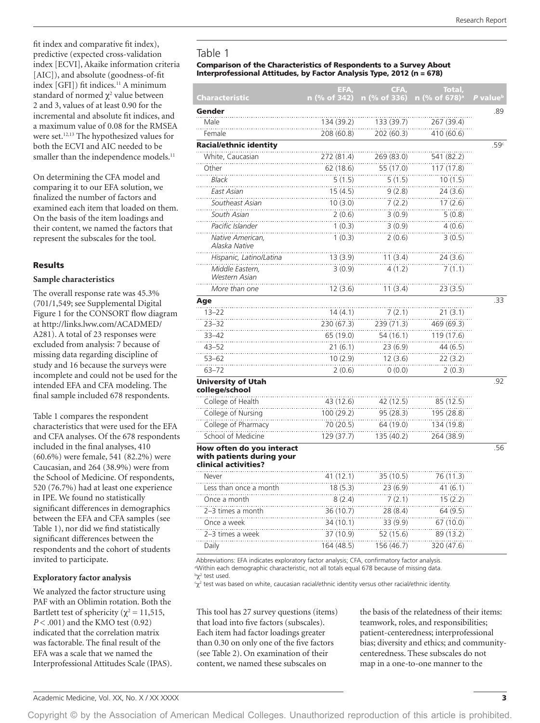fit index and comparative fit index), predictive (expected cross-validation index [ECVI], Akaike information criteria [AIC]), and absolute (goodness-of-fit index [GFI]) fit indices.<sup>11</sup> A minimum standard of normed  $\chi^2$  value between 2 and 3, values of at least 0.90 for the incremental and absolute fit indices, and a maximum value of 0.08 for the RMSEA were set.<sup>12,13</sup> The hypothesized values for both the ECVI and AIC needed to be smaller than the independence models.<sup>11</sup>

On determining the CFA model and comparing it to our EFA solution, we finalized the number of factors and examined each item that loaded on them. On the basis of the item loadings and their content, we named the factors that represent the subscales for the tool.

### Results

#### **Sample characteristics**

The overall response rate was 45.3% (701/1,549; see Supplemental Digital Figure 1 for the CONSORT flow diagram at [http://links.lww.com/ACADMED/](http://links.lww.com/ACADMED/A281) [A281\)](http://links.lww.com/ACADMED/A281). A total of 23 responses were excluded from analysis: 7 because of missing data regarding discipline of study and 16 because the surveys were incomplete and could not be used for the intended EFA and CFA modeling. The final sample included 678 respondents.

Table 1 compares the respondent characteristics that were used for the EFA and CFA analyses. Of the 678 respondents included in the final analyses, 410 (60.6%) were female, 541 (82.2%) were Caucasian, and 264 (38.9%) were from the School of Medicine. Of respondents, 520 (76.7%) had at least one experience in IPE. We found no statistically significant differences in demographics between the EFA and CFA samples (see Table 1), nor did we find statistically significant differences between the respondents and the cohort of students invited to participate.

#### **Exploratory factor analysis**

We analyzed the factor structure using PAF with an Oblimin rotation. Both the Bartlett test of sphericity ( $\chi^2$  = 11,515, *P* < .001) and the KMO test (0.92) indicated that the correlation matrix was factorable. The final result of the EFA was a scale that we named the Interprofessional Attitudes Scale (IPAS).

# Table 1

#### Comparison of the Characteristics of Respondents to a Survey About Interprofessional Attitudes, by Factor Analysis Type, 2012 (n = 678)

|                                                                                | EFA,         | CFA,         | Total,                    |                      |
|--------------------------------------------------------------------------------|--------------|--------------|---------------------------|----------------------|
| Characteristic                                                                 | n (% of 342) | n (% of 336) | n (% of 678) <sup>a</sup> | P value <sup>b</sup> |
| Gender                                                                         |              |              |                           | .89                  |
| Male                                                                           | 134 (39.2)   | 133 (39.7)   | 267 (39.4)                |                      |
| Female                                                                         | 208 (60.8)   | 202 (60.3)   | 410 (60.6)                |                      |
| <b>Racial/ethnic identity</b>                                                  |              |              |                           | .59 <sup>c</sup>     |
| White, Caucasian                                                               | 272 (81.4)   | 269 (83.0)   | 541 (82.2)                |                      |
| Other                                                                          | 62 (18.6)    | 55 (17.0)    | 117 (17.8)                |                      |
| <b>Black</b>                                                                   | 5(1.5)       | 5(1.5)       | 10(1.5)                   |                      |
| East Asian                                                                     | 15(4.5)      | 9(2.8)       | 24 (3.6)                  |                      |
| Southeast Asian                                                                | 10(3.0)      | 7(2.2)       | 17 (2.6)                  |                      |
| South Asian                                                                    | 2(0.6)       | 3(0.9)       | 5(0.8)                    |                      |
| Pacific Islander                                                               | 1(0.3)       | 3(0.9)       | 4(0.6)                    |                      |
| Native American,<br>Alaska Native                                              | 1(0.3)       | 2(0.6)       | 3(0.5)                    |                      |
| Hispanic, Latino/Latina                                                        | 13(3.9)      | 11 (3.4)     | 24 (3.6)                  |                      |
| Middle Eastern,<br>Western Asian                                               | 3(0.9)       | 4(1.2)       | 7(1.1)                    |                      |
| More than one                                                                  | 12 (3.6)     | 11 (3.4)     | 23 (3.5)                  |                      |
| Age                                                                            |              |              |                           | .33                  |
| $13 - 22$                                                                      | 14(4.1)      | 7(2.1)       | 21(3.1)                   |                      |
| $23 - 32$                                                                      | 230 (67.3)   | 239 (71.3)   | 469 (69.3)                |                      |
| $33 - 42$                                                                      | 65 (19.0)    | 54 (16.1)    | 119 (17.6)                |                      |
| $43 - 52$                                                                      | 21(6.1)      | 23 (6.9)     | 44 (6.5)                  |                      |
| $53 - 62$                                                                      | 10 (2.9)     | 12 (3.6)     | 22 (3.2)                  |                      |
| $63 - 72$                                                                      | 2(0.6)       | 0(0.0)       | 2(0.3)                    |                      |
| <b>University of Utah</b><br>college/school                                    |              |              |                           | .92                  |
| College of Health                                                              | 43 (12.6)    | 42 (12.5)    | 85 (12.5)                 |                      |
| College of Nursing                                                             | 100 (29.2)   | 95(28.3)     | 195 (28.8)                |                      |
| College of Pharmacy                                                            | 70 (20.5)    | 64 (19.0)    | 134 (19.8)                |                      |
| School of Medicine                                                             | 129 (37.7)   | 135 (40.2)   | 264 (38.9)                |                      |
| How often do you interact<br>with patients during your<br>clinical activities? |              |              |                           | .56                  |
| Never                                                                          | 41 (12.1)    | 35 (10.5)    | 76 (11.3)                 |                      |
| Less than once a month                                                         | 18(5.3)      | 23 (6.9)     | 41(6.1)                   |                      |
| Once a month                                                                   | 8(2.4)       | 7(2.1)       | 15(2.2)                   |                      |
| 2–3 times a month                                                              | 36 (10.7)    | 28 (8.4)     | 64 (9.5)                  |                      |
| Once a week                                                                    | 34 (10.1)    | 33 (9.9)     | 67 (10.0)                 |                      |
| 2-3 times a week                                                               | 37 (10.9)    | 52 (15.6)    | 89 (13.2)                 |                      |
| Daily                                                                          | 164 (48.5)   | 156 (46.7)   | 320 (47.6)                |                      |

Abbreviations: EFA indicates exploratory factor analysis; CFA, confirmatory factor analysis. a Within each demographic characteristic, not all totals equal 678 because of missing data.

<sup>b</sup>χ<sup>2</sup> test used.  $\gamma^2$  test was based on white, caucasian racial/ethnic identity versus other racial/ethnic identity.

This tool has 27 survey questions (items) that load into five factors (subscales). Each item had factor loadings greater than 0.30 on only one of the five factors (see Table 2). On examination of their content, we named these subscales on

the basis of the relatedness of their items: teamwork, roles, and responsibilities; patient-centeredness; interprofessional bias; diversity and ethics; and communitycenteredness. These subscales do not map in a one-to-one manner to the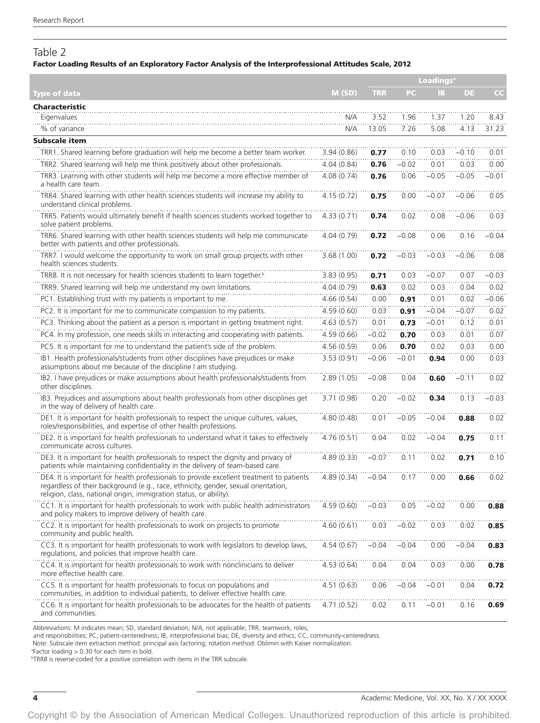# Table 2

# Factor Loading Results of an Exploratory Factor Analysis of the Interprofessional Attitudes Scale, 2012

|                                                                                                                                                                                                                                                      |             | <b>Loadings<sup>a</sup></b> |         |           |           |         |
|------------------------------------------------------------------------------------------------------------------------------------------------------------------------------------------------------------------------------------------------------|-------------|-----------------------------|---------|-----------|-----------|---------|
| Type of data                                                                                                                                                                                                                                         | M(SD)       | <b>TRR</b>                  | PC.     | <b>IB</b> | <b>DE</b> | cc      |
| Characteristic                                                                                                                                                                                                                                       |             |                             |         |           |           |         |
| Eigenvalues                                                                                                                                                                                                                                          | N/A         | 3.52                        | 1.96    | 1.37      | 1.20      | 8.43    |
| % of variance                                                                                                                                                                                                                                        | N/A         | 13.05                       | 7.26    | 5.08      | 4.13      | 31.23   |
| <b>Subscale item</b>                                                                                                                                                                                                                                 |             |                             |         |           |           |         |
| TRR1. Shared learning before graduation will help me become a better team worker.                                                                                                                                                                    | 3.94(0.86)  | 0.77                        | 0.10    | 0.03      | $-0.10$   | 0.01    |
| TRR2. Shared learning will help me think positively about other professionals.                                                                                                                                                                       | 4.04(0.84)  | 0.76                        | $-0.02$ | 0.01      | 0.03      | 0.00    |
| TRR3. Learning with other students will help me become a more effective member of<br>a health care team.                                                                                                                                             | 4.08(0.74)  | 0.76                        | 0.06    | $-0.05$   | $-0.05$   | $-0.01$ |
| TRR4. Shared learning with other health sciences students will increase my ability to<br>understand clinical problems.                                                                                                                               | 4.15(0.72)  | 0.75                        | 0.00    | $-0.07$   | $-0.06$   | 0.05    |
| TRR5. Patients would ultimately benefit if health sciences students worked together to<br>solve patient problems.                                                                                                                                    | 4.33(0.71)  | 0.74                        | 0.02    | 0.08      | $-0.06$   | 0.03    |
| TRR6. Shared learning with other health sciences students will help me communicate<br>better with patients and other professionals.                                                                                                                  | 4.04(0.79)  | 0.72                        | $-0.08$ | 0.06      | 0.16      | $-0.04$ |
| TRR7. I would welcome the opportunity to work on small group projects with other<br>health sciences students.                                                                                                                                        | 3.68(1.00)  | 0.72                        | $-0.03$ | $-0.03$   | $-0.06$   | 0.08    |
| TRR8. It is not necessary for health sciences students to learn together. <sup>b</sup>                                                                                                                                                               | 3.83 (0.95) | 0.71                        | 0.03    | $-0.07$   | 0.07      | $-0.03$ |
| TRR9. Shared learning will help me understand my own limitations.                                                                                                                                                                                    | 4.04(0.79)  | 0.63                        | 0.02    | 0.03      | 0.04      | 0.02    |
| PC1. Establishing trust with my patients is important to me.                                                                                                                                                                                         | 4.66(0.54)  | 0.00                        | 0.91    | 0.01      | 0.02      | $-0.06$ |
| PC2. It is important for me to communicate compassion to my patients.                                                                                                                                                                                | 4.59(0.60)  | 0.03                        | 0.91    | $-0.04$   | $-0.07$   | 0.02    |
| PC3. Thinking about the patient as a person is important in getting treatment right.                                                                                                                                                                 | 4.63(0.57)  | 0.01                        | 0.73    | $-0.01$   | 0.12      | 0.01    |
| PC4. In my profession, one needs skills in interacting and cooperating with patients.                                                                                                                                                                | 4.59(0.66)  | $-0.02$                     | 0.70    | 0.03      | 0.01      | 0.07    |
| PC5. It is important for me to understand the patient's side of the problem.                                                                                                                                                                         | 4.56(0.59)  | 0.06                        | 0.70    | 0.02      | 0.03      | 0.00    |
| IB1. Health professionals/students from other disciplines have prejudices or make<br>assumptions about me because of the discipline I am studying.                                                                                                   | 3.53(0.91)  | $-0.06$                     | $-0.01$ | 0.94      | 0.00      | 0.03    |
| IB2. I have prejudices or make assumptions about health professionals/students from<br>other disciplines.                                                                                                                                            | 2.89(1.05)  | $-0.08$                     | 0.04    | 0.60      | $-0.11$   | 0.02    |
| IB3. Prejudices and assumptions about health professionals from other disciplines get<br>in the way of delivery of health care.                                                                                                                      | 3.71(0.98)  | 0.20                        | $-0.02$ | 0.34      | 0.13      | $-0.03$ |
| DE1. It is important for health professionals to respect the unique cultures, values,<br>roles/responsibilities, and expertise of other health professions.                                                                                          | 4.80(0.48)  | 0.01                        | $-0.05$ | $-0.04$   | 0.88      | 0.02    |
| DE2. It is important for health professionals to understand what it takes to effectively<br>communicate across cultures.                                                                                                                             | 4.76(0.51)  | 0.04                        | 0.02    | $-0.04$   | 0.75      | 0.11    |
| DE3. It is important for health professionals to respect the dignity and privacy of<br>patients while maintaining confidentiality in the delivery of team-based care.                                                                                | 4.89(0.33)  | $-0.07$                     | 0.11    | 0.02      | 0.71      | 0.10    |
| DE4. It is important for health professionals to provide excellent treatment to patients<br>regardless of their background (e.g., race, ethnicity, gender, sexual orientation,<br>religion, class, national origin, immigration status, or ability). | 4.89 (0.34) | $-0.04$                     | 0.17    | 0.00      | 0.66      | 0.02    |
| CC1. It is important for health professionals to work with public health administrators<br>and policy makers to improve delivery of health care.                                                                                                     | 4.59(0.60)  | $-0.03$                     | 0.05    | $-0.02$   | 0.00      | 0.88    |
| CC2. It is important for health professionals to work on projects to promote<br>community and public health.                                                                                                                                         | 4.60(0.61)  | 0.03                        | $-0.02$ | 0.03      | 0.02      | 0.85    |
| CC3. It is important for health professionals to work with legislators to develop laws,<br>regulations, and policies that improve health care.                                                                                                       | 4.54(0.67)  | $-0.04$                     | $-0.04$ | 0.00      | $-0.04$   | 0.83    |
| CC4. It is important for health professionals to work with nonclinicians to deliver<br>more effective health care.                                                                                                                                   | 4.53(0.64)  | 0.04                        | 0.04    | 0.03      | 0.00      | 0.78    |
| CC5. It is important for health professionals to focus on populations and<br>communities, in addition to individual patients, to deliver effective health care.                                                                                      | 4.51 (0.63) | 0.06                        | $-0.04$ | $-0.01$   | 0.04      | 0.72    |
| CC6. It is important for health professionals to be advocates for the health of patients<br>and communities.                                                                                                                                         | 4.71 (0.52) | 0.02                        | 0.11    | $-0.01$   | 0.16      | 0.69    |

Abbreviations: M indicates mean; SD, standard deviation; N/A, not applicable; TRR, teamwork, roles,

and responsibilities; PC, patient-centeredness; IB, interprofessional bias; DE, diversity and ethics; CC, community-centeredness.

Note: Subscale item extraction method: principal axis factoring; rotation method: Oblimin with Kaiser normalization.

a Factor loading > 0.30 for each item in bold.

b TRR8 is reverse-coded for a positive correlation with items in the TRR subscale.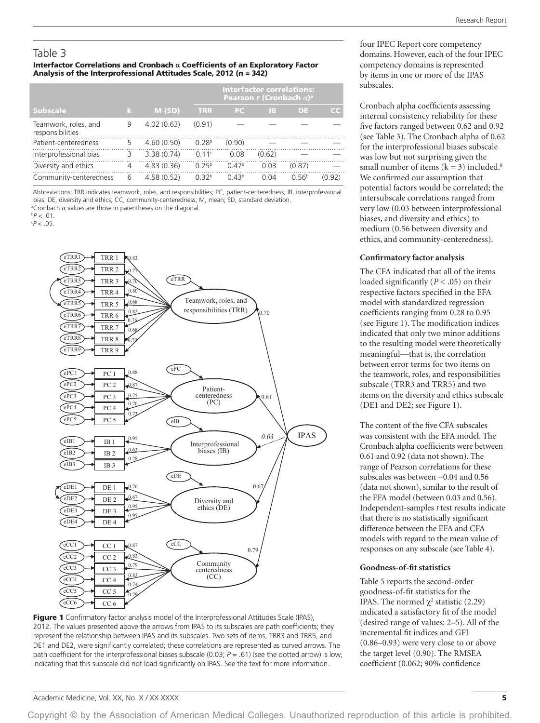# Table 3

#### Interfactor Correlations and Cronbach **α** Coefficients of an Exploratory Factor Analysis of the Interprofessional Attitudes Scale, 2012 (n = 342)

|                                          |   |            |                   | <b>Interfactor correlations:</b><br>Pearson r (Cronbach $\alpha$ ) <sup>a</sup> |        |                   |        |
|------------------------------------------|---|------------|-------------------|---------------------------------------------------------------------------------|--------|-------------------|--------|
| <b>Subscale</b>                          | k | M(SD)      | <b>TRR</b>        | PC.                                                                             | TB.    | DE.               | CC.    |
| Teamwork, roles, and<br>responsibilities | 9 | 4.02(0.63) | (0.91)            |                                                                                 |        |                   |        |
| Patient-centeredness                     | 5 | 4.60(0.50) | 0.28 <sup>b</sup> | (0.90)                                                                          |        |                   |        |
| Interprofessional bias                   | 3 | 3.38(0.74) | 0.11c             | 0.08                                                                            | (0.62) |                   |        |
| Diversity and ethics                     | 4 | 4.83(0.36) | 0.25 <sup>b</sup> | 0.47 <sup>b</sup>                                                               | 0.03   | (0.87)            |        |
| Community-centeredness                   | 6 | 4.58(0.52) | 0.32 <sup>b</sup> | 0.43 <sup>b</sup>                                                               | 0.04   | 0.56 <sup>b</sup> | (0.92) |

Abbreviations: TRR indicates teamwork, roles, and responsibilities; PC, patient-centeredness; IB, interprofessional bias; DE, diversity and ethics; CC, community-centeredness; M, mean; SD, standard deviation. <sup>a</sup>Cronbach  $\alpha$  values are those in parentheses on the diagonal.

b *P* < .01.

c *P* < .05.



Figure 1 Confirmatory factor analysis model of the Interprofessional Attitudes Scale (IPAS), 2012. The values presented above the arrows from IPAS to its subscales are path coefficients; they represent the relationship between IPAS and its subscales. Two sets of items, TRR3 and TRR5, and DE1 and DE2, were significantly correlated; these correlations are represented as curved arrows. The path coefficient for the interprofessional biases subscale (0.03; *P* = .61) (see the dotted arrow) is low, indicating that this subscale did not load significantly on IPAS. See the text for more information.

four IPEC Report core competency domains. However, each of the four IPEC competency domains is represented by items in one or more of the IPAS subscales.

Cronbach alpha coefficients assessing internal consistency reliability for these five factors ranged between 0.62 and 0.92 (see Table 3). The Cronbach alpha of 0.62 for the interprofessional biases subscale was low but not surprising given the small number of items  $(k = 3)$  included.<sup>8</sup> We confirmed our assumption that potential factors would be correlated; the intersubscale correlations ranged from very low (0.03 between interprofessional biases, and diversity and ethics) to medium (0.56 between diversity and ethics, and community-centeredness).

#### **Confirmatory factor analysis**

The CFA indicated that all of the items loaded significantly (*P* < .05) on their respective factors specified in the EFA model with standardized regression coefficients ranging from 0.28 to 0.95 (see Figure 1). The modification indices indicated that only two minor additions to the resulting model were theoretically meaningful—that is, the correlation between error terms for two items on the teamwork, roles, and responsibilities subscale (TRR3 and TRR5) and two items on the diversity and ethics subscale (DE1 and DE2; see Figure 1).

The content of the five CFA subscales was consistent with the EFA model. The Cronbach alpha coefficients were between 0.61 and 0.92 (data not shown). The range of Pearson correlations for these subscales was between −0.04 and 0.56 (data not shown), similar to the result of the EFA model (between 0.03 and 0.56). Independent-samples *t* test results indicate that there is no statistically significant difference between the EFA and CFA models with regard to the mean value of responses on any subscale (see Table 4).

#### **Goodness-of-fit statistics**

Table 5 reports the second-order goodness-of-fit statistics for the IPAS. The normed  $\chi^2$  statistic (2.29) indicated a satisfactory fit of the model (desired range of values: 2–5). All of the incremental fit indices and GFI (0.86–0.93) were very close to or above the target level (0.90). The RMSEA coefficient (0.062; 90% confidence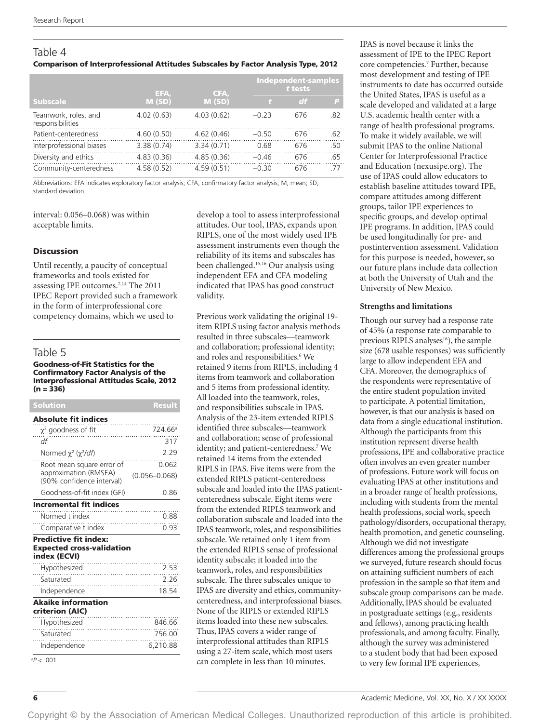# Table 4 Comparison of Interprofessional Attitudes Subscales by Factor Analysis Type, 2012

|                                          | EFA,       | CFA,       | <b>Independent-samples</b><br>t tests |     |     |
|------------------------------------------|------------|------------|---------------------------------------|-----|-----|
| <b>Subscale</b>                          | M(SD)      | M(SD)      |                                       | df  | P   |
| Teamwork, roles, and<br>responsibilities | 4.02(0.63) | 4.03(0.62) | $-0.23$                               | 676 | .82 |
| Patient-centeredness                     | 4.60(0.50) | 4.62(0.46) | $-0.50$                               | 676 | .62 |
| Interprofessional biases                 | 3.38(0.74) | 3.34(0.71) | 0.68                                  | 676 | .50 |
| Diversity and ethics                     | 4.83(0.36) | 4.85(0.36) | $-0.46$                               | 676 | .65 |
| Community-centeredness                   | 4.58(0.52) | 4.59(0.51) | $-0.30$                               | 676 | 77  |

Abbreviations: EFA indicates exploratory factor analysis; CFA, confirmatory factor analysis; M, mean; SD, standard deviation.

interval: 0.056–0.068) was within acceptable limits.

### Discussion

Until recently, a paucity of conceptual frameworks and tools existed for assessing IPE outcomes.7,14 The 2011 IPEC Report provided such a framework in the form of interprofessional core competency domains, which we used to

# Table 5

#### Goodness-of-Fit Statistics for the Confirmatory Factor Analysis of the Interprofessional Attitudes Scale, 2012  $(n = 336)$

| Solution                                                                         | <b>Result</b>       |
|----------------------------------------------------------------------------------|---------------------|
| <b>Absolute fit indices</b>                                                      |                     |
| $\chi^2$ goodness of fit<br>.<br>                                                | 724.66 <sup>a</sup> |
| df                                                                               | 317                 |
| Normed $\chi^2$ ( $\chi^2$ /df)                                                  | 2.29<br>.           |
| Root mean square error of                                                        | 0.062               |
| approximation (RMSEA)<br>(90% confidence interval)                               | $(0.056 - 0.068)$   |
| Goodness-of-fit index (GFI)                                                      | 0.86                |
| <b>Incremental fit indices</b>                                                   |                     |
| Normed t index                                                                   | 0.88                |
| Comparative t index                                                              | 0.93                |
| <b>Predictive fit index:</b><br><b>Expected cross-validation</b><br>index (ECVI) |                     |
| Hypothesized                                                                     | 2.53                |
| Saturated                                                                        | 2.26                |
| Independence                                                                     | 18.54               |
| <b>Akaike information</b><br>criterion (AIC)                                     |                     |
| Hypothesized                                                                     | 846.66              |
| Saturated                                                                        | 756.00              |
| Independence                                                                     | 6,210.88            |
| $^{a}P < .001$ .                                                                 |                     |

develop a tool to assess interprofessional attitudes. Our tool, IPAS, expands upon RIPLS, one of the most widely used IPE assessment instruments even though the reliability of its items and subscales has been challenged.15,16 Our analysis using independent EFA and CFA modeling indicated that IPAS has good construct validity.

Previous work validating the original 19 item RIPLS using factor analysis methods resulted in three subscales—teamwork and collaboration; professional identity; and roles and responsibilities.<sup>6</sup> We retained 9 items from RIPLS, including 4 items from teamwork and collaboration and 5 items from professional identity. All loaded into the teamwork, roles, and responsibilities subscale in IPAS. Analysis of the 23-item extended RIPLS identified three subscales—teamwork and collaboration; sense of professional identity; and patient-centeredness.<sup>7</sup> We retained 14 items from the extended RIPLS in IPAS. Five items were from the extended RIPLS patient-centeredness subscale and loaded into the IPAS patientcenteredness subscale. Eight items were from the extended RIPLS teamwork and collaboration subscale and loaded into the IPAS teamwork, roles, and responsibilities subscale. We retained only 1 item from the extended RIPLS sense of professional identity subscale; it loaded into the teamwork, roles, and responsibilities subscale. The three subscales unique to IPAS are diversity and ethics, communitycenteredness, and interprofessional biases. None of the RIPLS or extended RIPLS items loaded into these new subscales. Thus, IPAS covers a wider range of interprofessional attitudes than RIPLS using a 27-item scale, which most users can complete in less than 10 minutes.

IPAS is novel because it links the assessment of IPE to the IPEC Report core competencies.7 Further, because most development and testing of IPE instruments to date has occurred outside the United States, IPAS is useful as a scale developed and validated at a large U.S. academic health center with a range of health professional programs. To make it widely available, we will submit IPAS to the online National Center for Interprofessional Practice and Education (nexusipe.org). The use of IPAS could allow educators to establish baseline attitudes toward IPE, compare attitudes among different groups, tailor IPE experiences to specific groups, and develop optimal IPE programs. In addition, IPAS could be used longitudinally for pre- and postintervention assessment. Validation for this purpose is needed, however, so our future plans include data collection at both the University of Utah and the University of New Mexico.

### **Strengths and limitations**

Though our survey had a response rate of 45% (a response rate comparable to previous RIPLS analyses<sup>16</sup>), the sample size (678 usable responses) was sufficiently large to allow independent EFA and CFA. Moreover, the demographics of the respondents were representative of the entire student population invited to participate. A potential limitation, however, is that our analysis is based on data from a single educational institution. Although the participants from this institution represent diverse health professions, IPE and collaborative practice often involves an even greater number of professions. Future work will focus on evaluating IPAS at other institutions and in a broader range of health professions, including with students from the mental health professions, social work, speech pathology/disorders, occupational therapy, health promotion, and genetic counseling. Although we did not investigate differences among the professional groups we surveyed, future research should focus on attaining sufficient numbers of each profession in the sample so that item and subscale group comparisons can be made. Additionally, IPAS should be evaluated in postgraduate settings (e.g., residents and fellows), among practicing health professionals, and among faculty. Finally, although the survey was administered to a student body that had been exposed to very few formal IPE experiences,